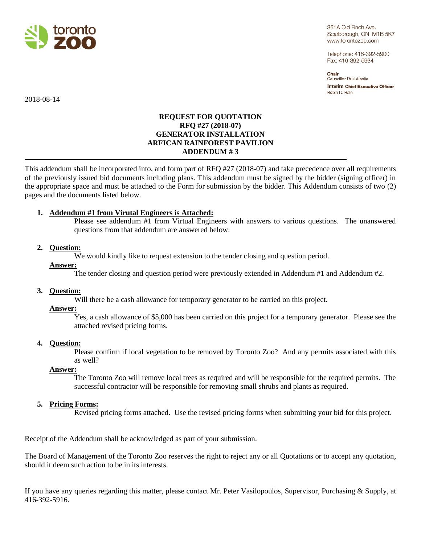

361A Old Finch Ave. Scarborough, ON M1B 5K7 www.torontozoo.com

Telephone: 416-392-5900 Fax: 416-392-5934

Chair Councillor Paul Ainslie **Interim Chief Executive Officer** Robin D. Hale

2018-08-14

# **REQUEST FOR QUOTATION RFQ #27 (2018-07) GENERATOR INSTALLATION ARFICAN RAINFOREST PAVILION ADDENDUM # 3**

This addendum shall be incorporated into, and form part of RFQ #27 (2018-07) and take precedence over all requirements of the previously issued bid documents including plans. This addendum must be signed by the bidder (signing officer) in the appropriate space and must be attached to the Form for submission by the bidder. This Addendum consists of two (2) pages and the documents listed below.

# **1. Addendum #1 from Virutal Engineers is Attached:**

Please see addendum #1 from Virtual Engineers with answers to various questions. The unanswered questions from that addendum are answered below:

### **2. Question:**

We would kindly like to request extension to the tender closing and question period.

#### **Answer:**

The tender closing and question period were previously extended in Addendum #1 and Addendum #2.

### **3. Question:**

Will there be a cash allowance for temporary generator to be carried on this project.

#### **Answer:**

Yes, a cash allowance of \$5,000 has been carried on this project for a temporary generator. Please see the attached revised pricing forms.

#### **4. Question:**

Please confirm if local vegetation to be removed by Toronto Zoo? And any permits associated with this as well?

#### **Answer:**

The Toronto Zoo will remove local trees as required and will be responsible for the required permits. The successful contractor will be responsible for removing small shrubs and plants as required.

### **5. Pricing Forms:**

Revised pricing forms attached. Use the revised pricing forms when submitting your bid for this project.

Receipt of the Addendum shall be acknowledged as part of your submission.

The Board of Management of the Toronto Zoo reserves the right to reject any or all Quotations or to accept any quotation, should it deem such action to be in its interests.

If you have any queries regarding this matter, please contact Mr. Peter Vasilopoulos, Supervisor, Purchasing & Supply, at 416-392-5916.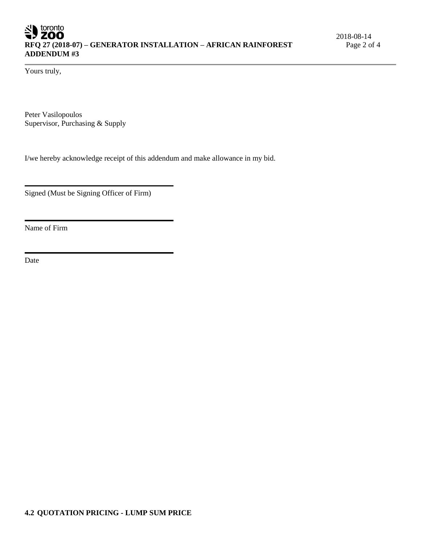Yours truly,

Peter Vasilopoulos Supervisor, Purchasing & Supply

I/we hereby acknowledge receipt of this addendum and make allowance in my bid.

Signed (Must be Signing Officer of Firm)

Name of Firm

Date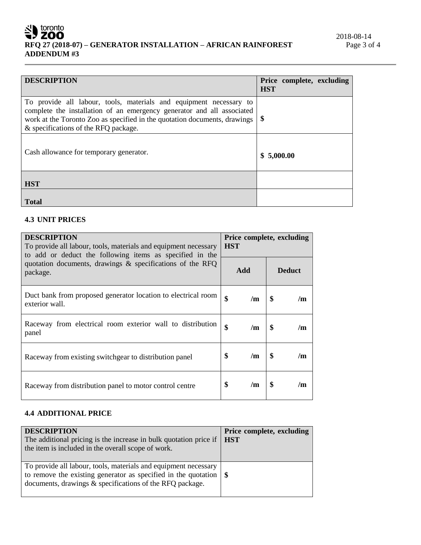# SU toronto **RFQ 27 (2018-07) – GENERATOR INSTALLATION – AFRICAN RAINFOREST ADDENDUM #3**

| <b>DESCRIPTION</b>                                                                                                                                                                                                                                                | Price complete, excluding<br><b>HST</b> |
|-------------------------------------------------------------------------------------------------------------------------------------------------------------------------------------------------------------------------------------------------------------------|-----------------------------------------|
| To provide all labour, tools, materials and equipment necessary to<br>complete the installation of an emergency generator and all associated<br>work at the Toronto Zoo as specified in the quotation documents, drawings<br>& specifications of the RFQ package. | $\boldsymbol{\$}$                       |
| Cash allowance for temporary generator.                                                                                                                                                                                                                           | \$5,000.00                              |
| <b>HST</b>                                                                                                                                                                                                                                                        |                                         |
| <b>Total</b>                                                                                                                                                                                                                                                      |                                         |

# **4.3 UNIT PRICES**

| <b>DESCRIPTION</b><br>To provide all labour, tools, materials and equipment necessary<br>to add or deduct the following items as specified in the | Price complete, excluding<br><b>HST</b> |     |    |               |
|---------------------------------------------------------------------------------------------------------------------------------------------------|-----------------------------------------|-----|----|---------------|
| quotation documents, drawings & specifications of the RFQ<br>package.                                                                             |                                         | Add |    | <b>Deduct</b> |
| Duct bank from proposed generator location to electrical room<br>exterior wall.                                                                   | \$                                      | /m  | \$ | /m            |
| Raceway from electrical room exterior wall to distribution<br>panel                                                                               | \$                                      | /m  | \$ | /m            |
| Raceway from existing switchgear to distribution panel                                                                                            | \$                                      | /m  | \$ | /m            |
| Raceway from distribution panel to motor control centre                                                                                           | \$                                      | /m  | \$ | /m            |

## **4.4 ADDITIONAL PRICE**

| <b>DESCRIPTION</b><br>The additional pricing is the increase in bulk quotation price if<br>the item is included in the overall scope of work.                                                               | Price complete, excluding<br><b>HST</b> |
|-------------------------------------------------------------------------------------------------------------------------------------------------------------------------------------------------------------|-----------------------------------------|
| To provide all labour, tools, materials and equipment necessary<br>to remove the existing generator as specified in the quotation $\frac{1}{3}$<br>documents, drawings & specifications of the RFQ package. |                                         |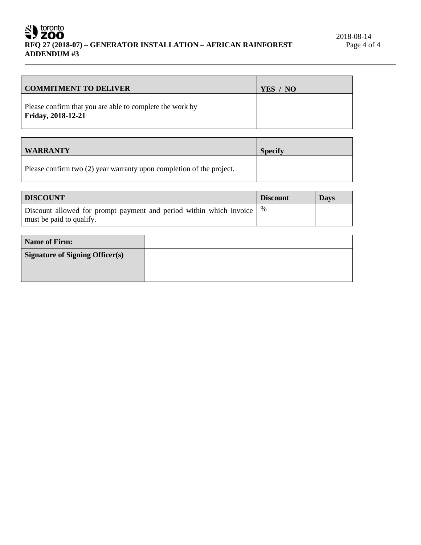# SV toronto **RFQ 27 (2018-07) – GENERATOR INSTALLATION – AFRICAN RAINFOREST ADDENDUM #3**

| <b>COMMITMENT TO DELIVER</b>                                                          | YES / NO |
|---------------------------------------------------------------------------------------|----------|
| Please confirm that you are able to complete the work by<br><b>Friday, 2018-12-21</b> |          |

| <b>WARRANTY</b>                                                      | <b>Specify</b> |
|----------------------------------------------------------------------|----------------|
| Please confirm two (2) year warranty upon completion of the project. |                |

| <b>DISCOUNT</b>                                                                                               | <b>Discount</b> | <b>Days</b> |
|---------------------------------------------------------------------------------------------------------------|-----------------|-------------|
| Discount allowed for prompt payment and period within which invoice $\frac{1}{6}$<br>must be paid to qualify. |                 |             |

| <b>Name of Firm:</b>                   |  |
|----------------------------------------|--|
| <b>Signature of Signing Officer(s)</b> |  |
|                                        |  |